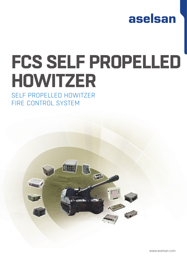

# **FCS SELF PROPELLED HOWITZER**

## SELF PROPELLED HOWITZER FIRE CONTROL SYSTEM



www.aselsan.com